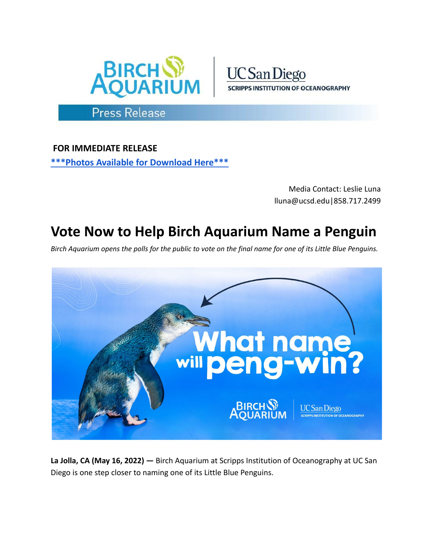



## **Press Release**

**FOR IMMEDIATE RELEASE [\\*\\*\\*Photos](https://drive.google.com/drive/folders/1bXXuKWqd4gt_ilLVgFzxak8a0QJ7TMJs?usp=sharing) Available for Download Here\*\*\***

> Media Contact: Leslie Luna lluna@ucsd.edu|858.717.2499

## **Vote Now to Help Birch Aquarium Name a Penguin**

Birch Aquarium opens the polls for the public to vote on the final name for one of its Little Blue Penguins.



**La Jolla, CA (May 16, 2022) —** Birch Aquarium at Scripps Institution of Oceanography at UC San Diego is one step closer to naming one of its Little Blue Penguins.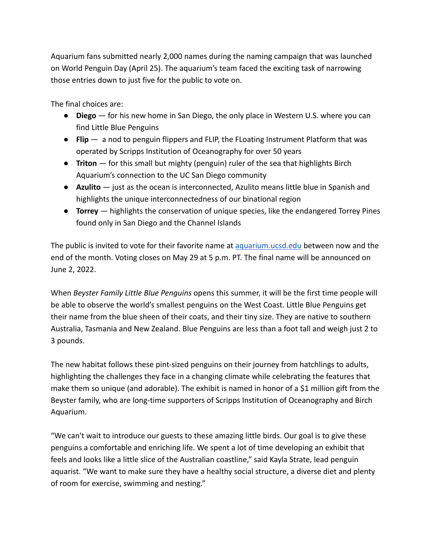Aquarium fans submitted nearly 2,000 names during the naming campaign that was launched on World Penguin Day (April 25). The aquarium's team faced the exciting task of narrowing those entries down to just five for the public to vote on.

The final choices are:

- **Diego** for his new home in San Diego, the only place in Western U.S. where you can find Little Blue Penguins
- **Flip** a nod to penguin flippers and FLIP, the FLoating Instrument Platform that was operated by Scripps Institution of Oceanography for over 50 years
- **Triton** for this small but mighty (penguin) ruler of the sea that highlights Birch Aquarium's connection to the UC San Diego community
- **Azulito** just as the ocean is interconnected, Azulito means little blue in Spanish and highlights the unique interconnectedness of our binational region
- **Torrey** highlights the conservation of unique species, like the endangered Torrey Pines found only in San Diego and the Channel Islands

The public is invited to vote for their favorite name at [aquarium.ucsd.edu](https://aquarium.ucsd.edu/visit/exhibits/penguins/help-name-our-penguin) between now and the end of the month. Voting closes on May 29 at 5 p.m. PT. The final name will be announced on June 2, 2022.

When *Beyster Family Little Blue Penguins* opens this summer, it will be the first time people will be able to observe the world's smallest penguins on the West Coast. Little Blue Penguins get their name from the blue sheen of their coats, and their tiny size. They are native to southern Australia, Tasmania and New Zealand. Blue Penguins are less than a foot tall and weigh just 2 to 3 pounds.

The new habitat follows these pint-sized penguins on their journey from hatchlings to adults, highlighting the challenges they face in a changing climate while celebrating the features that make them so unique (and adorable). The exhibit is named in honor of a \$1 million gift from the Beyster family, who are long-time supporters of Scripps Institution of Oceanography and Birch Aquarium.

"We can't wait to introduce our guests to these amazing little birds. Our goal is to give these penguins a comfortable and enriching life. We spent a lot of time developing an exhibit that feels and looks like a little slice of the Australian coastline," said Kayla Strate, lead penguin aquarist. "We want to make sure they have a healthy social structure, a diverse diet and plenty of room for exercise, swimming and nesting."